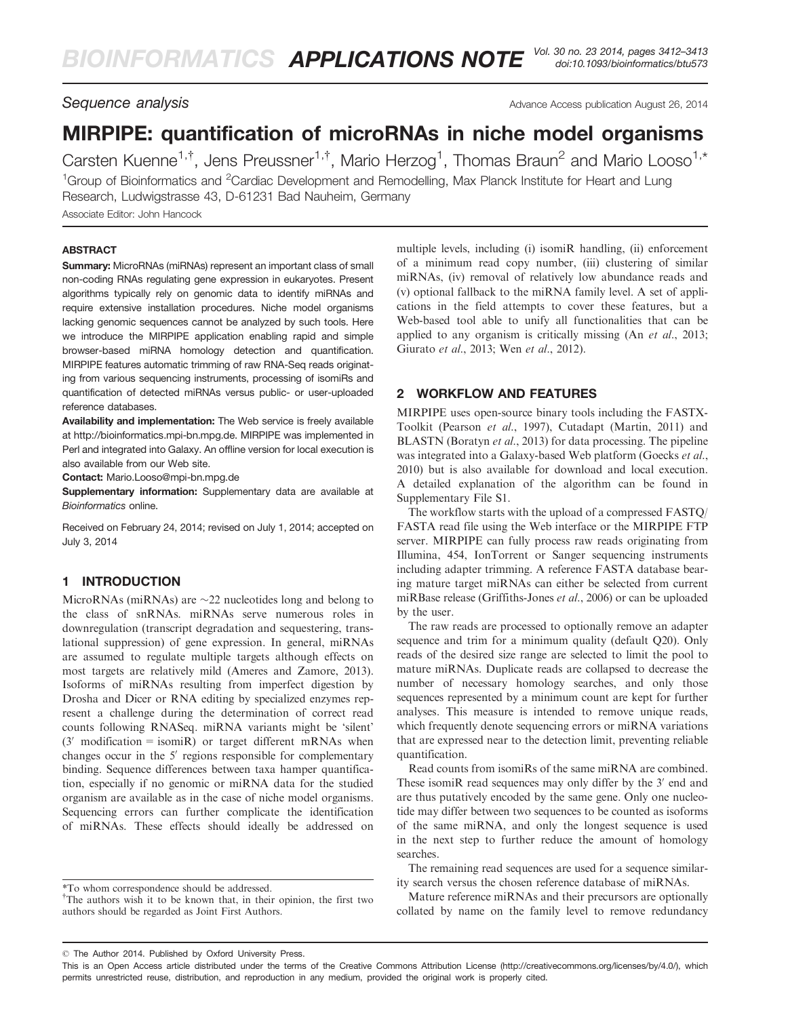# MIRPIPE: quantification of microRNAs in niche model organisms

Carsten Kuenne<sup>1,†</sup>, Jens Preussner<sup>1,†</sup>, Mario Herzog<sup>1</sup>, Thomas Braun<sup>2</sup> and Mario Looso<sup>1,\*</sup> <sup>1</sup>Group of Bioinformatics and <sup>2</sup>Cardiac Development and Remodelling, Max Planck Institute for Heart and Lung Research, Ludwigstrasse 43, D-61231 Bad Nauheim, Germany Associate Editor: John Hancock

## ABSTRACT

Summary: MicroRNAs (miRNAs) represent an important class of small non-coding RNAs regulating gene expression in eukaryotes. Present algorithms typically rely on genomic data to identify miRNAs and require extensive installation procedures. Niche model organisms lacking genomic sequences cannot be analyzed by such tools. Here we introduce the MIRPIPE application enabling rapid and simple browser-based miRNA homology detection and quantification. MIRPIPE features automatic trimming of raw RNA-Seq reads originating from various sequencing instruments, processing of isomiRs and quantification of detected miRNAs versus public- or user-uploaded reference databases.

Availability and implementation: The Web service is freely available at<http://bioinformatics.mpi-bn.mpg.de>. MIRPIPE was implemented in Perl and integrated into Galaxy. An offline version for local execution is also available from our Web site.

Contact: [Mario.Looso@mpi-bn.mpg.de](mailto:Mario.Looso@mpi-bn.mpg.de)

Supplementary information: [Supplementary data](http://bioinformatics.oxfordjournals.org/lookup/suppl/doi:10.1093/bioinformatics/btu573/-/DC1) are available at Bioinformatics online.

Received on February 24, 2014; revised on July 1, 2014; accepted on July 3, 2014

# 1 INTRODUCTION

MicroRNAs (miRNAs) are  $\sim$ 22 nucleotides long and belong to the class of snRNAs. miRNAs serve numerous roles in downregulation (transcript degradation and sequestering, translational suppression) of gene expression. In general, miRNAs are assumed to regulate multiple targets although effects on most targets are relatively mild ([Ameres and Zamore, 2013](#page-1-0)). Isoforms of miRNAs resulting from imperfect digestion by Drosha and Dicer or RNA editing by specialized enzymes represent a challenge during the determination of correct read counts following RNASeq. miRNA variants might be 'silent'  $(3'$  modification = isomiR) or target different mRNAs when changes occur in the  $5'$  regions responsible for complementary binding. Sequence differences between taxa hamper quantification, especially if no genomic or miRNA data for the studied organism are available as in the case of niche model organisms. Sequencing errors can further complicate the identification of miRNAs. These effects should ideally be addressed on multiple levels, including (i) isomiR handling, (ii) enforcement of a minimum read copy number, (iii) clustering of similar miRNAs, (iv) removal of relatively low abundance reads and (v) optional fallback to the miRNA family level. A set of applications in the field attempts to cover these features, but a Web-based tool able to unify all functionalities that can be applied to any organism is critically missing (An et al[., 2013](#page-1-0); [Giurato](#page-1-0) et al., 2013; Wen et al[., 2012](#page-1-0)).

# 2 WORKFLOW AND FEATURES

MIRPIPE uses open-source binary tools including the FASTX-Toolkit [\(Pearson](#page-1-0) et al., 1997), Cutadapt [\(Martin, 2011\)](#page-1-0) and BLASTN [\(Boratyn](#page-1-0) et al., 2013) for data processing. The pipeline was integrated into a Galaxy-based Web platform ([Goecks](#page-1-0) et al., [2010\)](#page-1-0) but is also available for download and local execution. A detailed explanation of the algorithm can be found in [Supplementary File S1.](http://bioinformatics.oxfordjournals.org/lookup/suppl/doi:10.1093/bioinformatics/btu573/-/DC1)

The workflow starts with the upload of a compressed FASTQ/ FASTA read file using the Web interface or the MIRPIPE FTP server. MIRPIPE can fully process raw reads originating from Illumina, 454, IonTorrent or Sanger sequencing instruments including adapter trimming. A reference FASTA database bearing mature target miRNAs can either be selected from current miRBase release ([Griffiths-Jones](#page-1-0) et al., 2006) or can be uploaded by the user.

The raw reads are processed to optionally remove an adapter sequence and trim for a minimum quality (default Q20). Only reads of the desired size range are selected to limit the pool to mature miRNAs. Duplicate reads are collapsed to decrease the number of necessary homology searches, and only those sequences represented by a minimum count are kept for further analyses. This measure is intended to remove unique reads, which frequently denote sequencing errors or miRNA variations that are expressed near to the detection limit, preventing reliable quantification.

Read counts from isomiRs of the same miRNA are combined. These isomiR read sequences may only differ by the 3<sup>'</sup> end and are thus putatively encoded by the same gene. Only one nucleotide may differ between two sequences to be counted as isoforms of the same miRNA, and only the longest sequence is used in the next step to further reduce the amount of homology searches.

The remaining read sequences are used for a sequence similarity search versus the chosen reference database of miRNAs.

Mature reference miRNAs and their precursors are optionally collated by name on the family level to remove redundancy

<sup>\*</sup>To whom correspondence should be addressed.

<sup>&</sup>lt;sup>†</sup>The authors wish it to be known that, in their opinion, the first two authors should be regarded as Joint First Authors.

<sup>-</sup> The Author 2014. Published by Oxford University Press.

This is an Open Access article distributed under the terms of the Creative Commons Attribution License [\(http://creativecommons.org/licenses/by/4.0/\)](XPath error Undefined namespace prefix), which permits unrestricted reuse, distribution, and reproduction in any medium, provided the original work is properly cited.